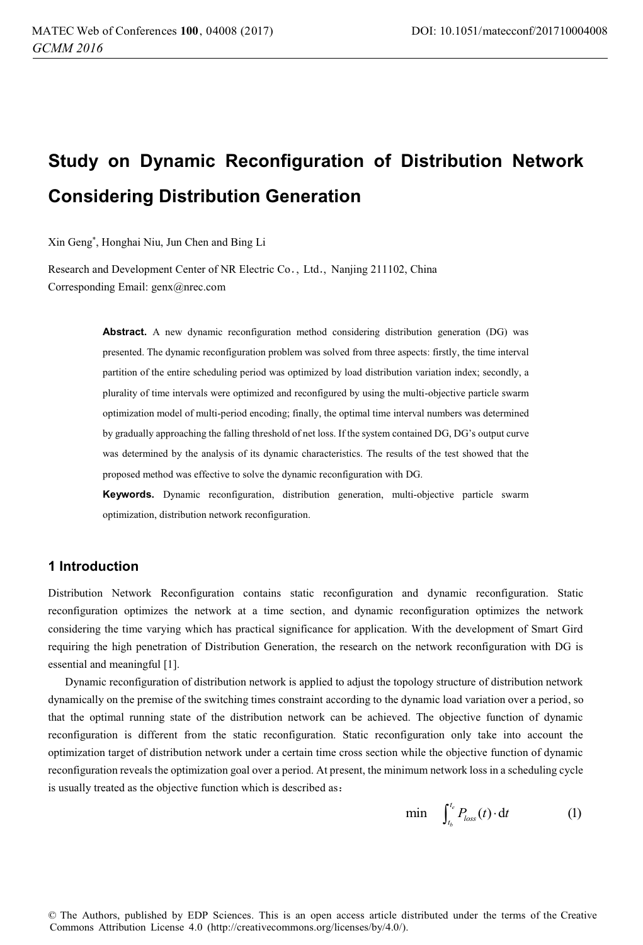# **Study on Dynamic Reconfiguration of Distribution Network Considering Distribution Generation**

Xin Geng\* , Honghai Niu, Jun Chen and Bing Li

Research and Development Center of NR Electric Co., Ltd., Nanjing 211102, China Corresponding Email: genx@nrec.com

> Abstract. A new dynamic reconfiguration method considering distribution generation (DG) was presented. The dynamic reconfiguration problem was solved from three aspects: firstly, the time interval partition of the entire scheduling period was optimized by load distribution variation index; secondly, a plurality of time intervals were optimized and reconfigured by using the multi-objective particle swarm optimization model of multi-period encoding; finally, the optimal time interval numbers was determined by gradually approaching the falling threshold of net loss. If the system contained DG, DG's output curve was determined by the analysis of its dynamic characteristics. The results of the test showed that the proposed method was effective to solve the dynamic reconfiguration with DG.

> **Keywords.** Dynamic reconfiguration, distribution generation, multi-objective particle swarm optimization, distribution network reconfiguration.

## **1 Introduction**

Distribution Network Reconfiguration contains static reconfiguration and dynamic reconfiguration. Static reconfiguration optimizes the network at a time section, and dynamic reconfiguration optimizes the network considering the time varying which has practical significance for application. With the development of Smart Gird requiring the high penetration of Distribution Generation, the research on the network reconfiguration with DG is essential and meaningful [1].

Dynamic reconfiguration of distribution network is applied to adjust the topology structure of distribution network dynamically on the premise of the switching times constraint according to the dynamic load variation over a period, so that the optimal running state of the distribution network can be achieved. The objective function of dynamic reconfiguration is different from the static reconfiguration. Static reconfiguration only take into account the optimization target of distribution network under a certain time cross section while the objective function of dynamic reconfiguration reveals the optimization goal over a period. At present, the minimum network loss in a scheduling cycle is usually treated as the objective function which is described as:

$$
\min \quad \int_{t_b}^{t_e} P_{loss}(t) \cdot \mathrm{d}t \tag{1}
$$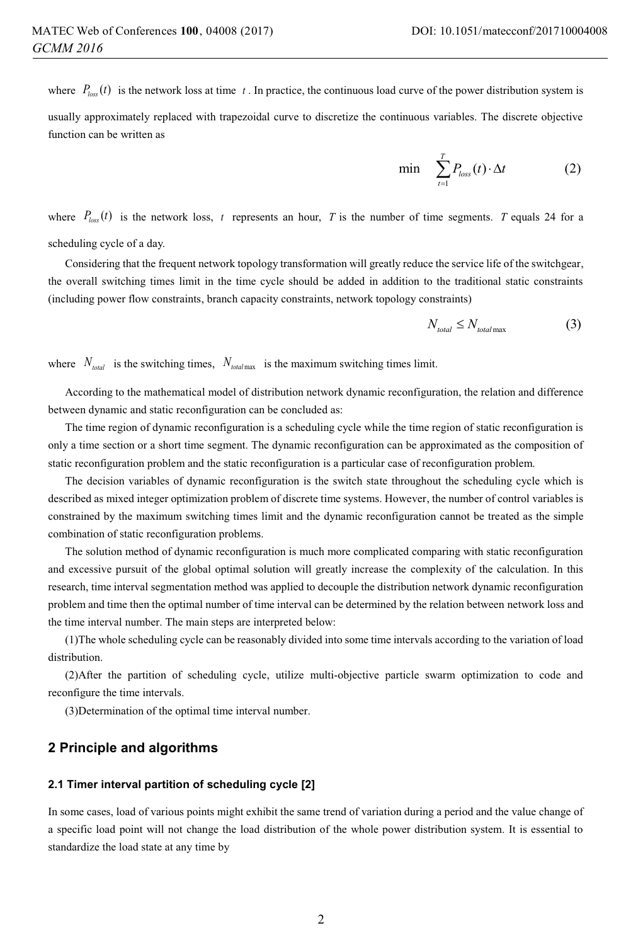where  $P_{loss}(t)$  is the network loss at time *t*. In practice, the continuous load curve of the power distribution system is usually approximately replaced with trapezoidal curve to discretize the continuous variables. The discrete objective function can be written as

$$
\min \sum_{t=1}^{T} P_{loss}(t) \cdot \Delta t \tag{2}
$$

where  $P_{loss}(t)$  is the network loss, *t* represents an hour, *T* is the number of time segments. *T* equals 24 for a scheduling cycle of a day.

Considering that the frequent network topology transformation will greatly reduce the service life of the switchgear, the overall switching times limit in the time cycle should be added in addition to the traditional static constraints (including power flow constraints, branch capacity constraints, network topology constraints)

$$
N_{\text{total}} \le N_{\text{total max}} \tag{3}
$$

where  $N_{total}$  is the switching times,  $N_{total}$  is the maximum switching times limit.

According to the mathematical model of distribution network dynamic reconfiguration, the relation and difference between dynamic and static reconfiguration can be concluded as:

The time region of dynamic reconfiguration is a scheduling cycle while the time region of static reconfiguration is only a time section or a short time segment. The dynamic reconfiguration can be approximated as the composition of static reconfiguration problem and the static reconfiguration is a particular case of reconfiguration problem.

The decision variables of dynamic reconfiguration is the switch state throughout the scheduling cycle which is described as mixed integer optimization problem of discrete time systems. However, the number of control variables is constrained by the maximum switching times limit and the dynamic reconfiguration cannot be treated as the simple combination of static reconfiguration problems.

The solution method of dynamic reconfiguration is much more complicated comparing with static reconfiguration and excessive pursuit of the global optimal solution will greatly increase the complexity of the calculation. In this research, time interval segmentation method was applied to decouple the distribution network dynamic reconfiguration problem and time then the optimal number of time interval can be determined by the relation between network loss and the time interval number. The main steps are interpreted below:

(1)The whole scheduling cycle can be reasonably divided into some time intervals according to the variation of load distribution.

(2)After the partition of scheduling cycle, utilize multi-objective particle swarm optimization to code and reconfigure the time intervals.

(3)Determination of the optimal time interval number.

## **2 Principle and algorithms**

#### **2.1 Timer interval partition of scheduling cycle [2]**

In some cases, load of various points might exhibit the same trend of variation during a period and the value change of a specific load point will not change the load distribution of the whole power distribution system. It is essential to standardize the load state at any time by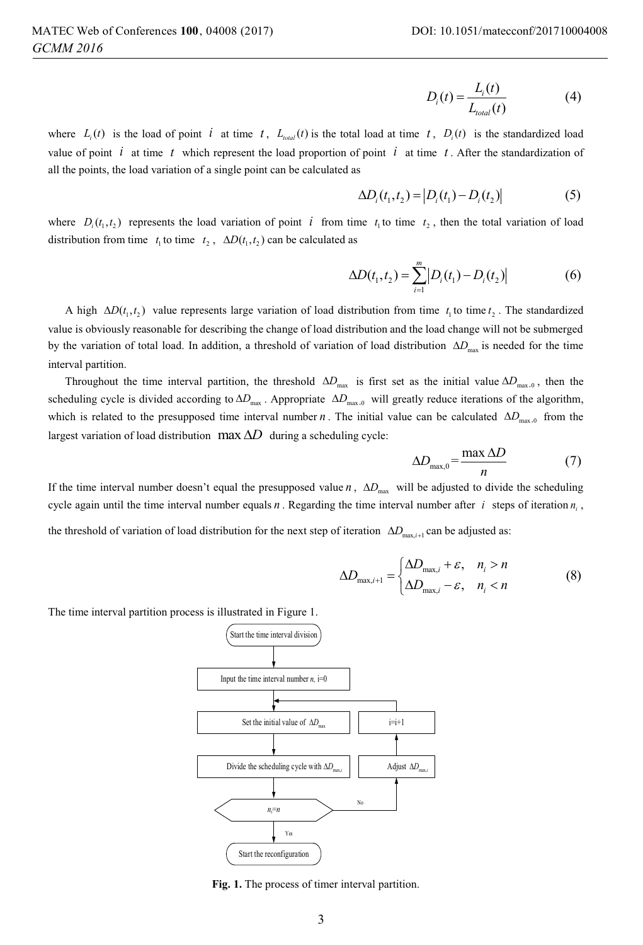$$
D_i(t) = \frac{L_i(t)}{L_{total}(t)}\tag{4}
$$

where  $L_i(t)$  is the load of point *i* at time *t*,  $L_{total}(t)$  is the total load at time *t*,  $D_i(t)$  is the standardized load value of point *i* at time *t* which represent the load proportion of point *i* at time *t*. After the standardization of all the points, the load variation of a single point can be calculated as

$$
\Delta D_i(t_1, t_2) = |D_i(t_1) - D_i(t_2)| \tag{5}
$$

where  $D_i(t_1, t_2)$  represents the load variation of point *i* from time  $t_1$  to time  $t_2$ , then the total variation of load distribution from time  $t_1$  to time  $t_2$ ,  $\Delta D(t_1, t_2)$  can be calculated as

$$
\Delta D(t_1, t_2) = \sum_{i=1}^{m} \left| D_i(t_1) - D_i(t_2) \right| \tag{6}
$$

A high  $\Delta D(t_1, t_2)$  value represents large variation of load distribution from time  $t_1$  to time  $t_2$ . The standardized value is obviously reasonable for describing the change of load distribution and the load change will not be submerged by the variation of total load. In addition, a threshold of variation of load distribution  $\Delta D_{\text{max}}$  is needed for the time interval partition.

Throughout the time interval partition, the threshold  $\Delta D_{\text{max}}$  is first set as the initial value  $\Delta D_{\text{max},0}$ , then the scheduling cycle is divided according to  $\Delta D_{\text{max}}$ . Appropriate  $\Delta D_{\text{max}}$ , will greatly reduce iterations of the algorithm, which is related to the presupposed time interval number *n*. The initial value can be calculated  $\Delta D_{\text{max},0}$  from the largest variation of load distribution  $\max \Delta D$  during a scheduling cycle:

$$
\Delta D_{\text{max},0} = \frac{\max \Delta D}{n} \tag{7}
$$

If the time interval number doesn't equal the presupposed value  $n$ ,  $\Delta D_{\text{max}}$  will be adjusted to divide the scheduling cycle again until the time interval number equals  $n$ . Regarding the time interval number after  $i$  steps of iteration  $n_i$ , the threshold of variation of load distribution for the next step of iteration  $\Delta D_{\text{max }i+1}$  can be adjusted as:

$$
\Delta D_{\max,i+1} = \begin{cases} \Delta D_{\max,i} + \varepsilon, & n_i > n \\ \Delta D_{\max,i} - \varepsilon, & n_i < n \end{cases}
$$
 (8)

The time interval partition process is illustrated in Figure 1.



**Fig. 1.** The process of timer interval partition.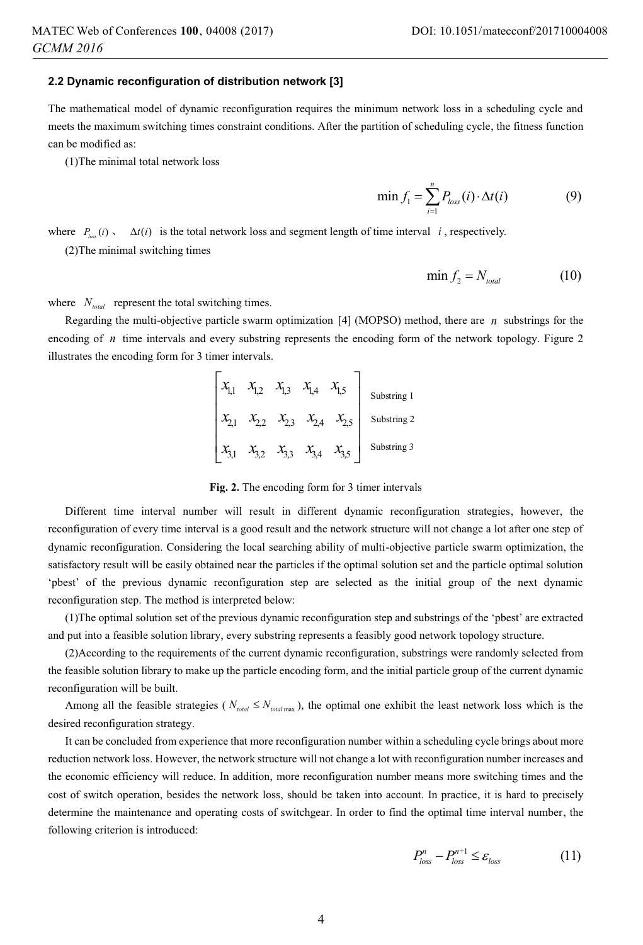#### **2.2 Dynamic reconfiguration of distribution network [3]**

The mathematical model of dynamic reconfiguration requires the minimum network loss in a scheduling cycle and meets the maximum switching times constraint conditions. After the partition of scheduling cycle, the fitness function can be modified as:

(1)The minimal total network loss

$$
\min f_1 = \sum_{i=1}^n P_{loss}(i) \cdot \Delta t(i) \tag{9}
$$

where  $P_{\text{loss}}(i)$ ,  $\Delta t(i)$  is the total network loss and segment length of time interval *i*, respectively. (2)The minimal switching times

$$
\min f_2 = N_{\text{total}} \tag{10}
$$

where  $N_{total}$  represent the total switching times.

Regarding the multi-objective particle swarm optimization [4] (MOPSO) method, there are *n* substrings for the encoding of *n* time intervals and every substring represents the encoding form of the network topology. Figure 2 illustrates the encoding form for 3 timer intervals.

| $\mathcal{X}_{1,1}$ |  | $\mathcal{X}_{\mathbf{l},2} \quad \mathcal{X}_{\mathbf{l},3} \quad \mathcal{X}_{\mathbf{l},4} \quad \mathcal{X}_{\mathbf{l},5}$ |                                         | Substring 1                                                                                 |
|---------------------|--|---------------------------------------------------------------------------------------------------------------------------------|-----------------------------------------|---------------------------------------------------------------------------------------------|
|                     |  |                                                                                                                                 |                                         | $\begin{vmatrix} x_{2,1} & x_{2,2} & x_{2,3} & x_{2,4} & x_{2,5} \end{vmatrix}$ Substring 2 |
| $x_{3,1}$           |  |                                                                                                                                 | $x_{3,2}$ $x_{3,3}$ $x_{3,4}$ $x_{3,5}$ | Substring 3                                                                                 |

**Fig. 2.** The encoding form for 3 timer intervals

Different time interval number will result in different dynamic reconfiguration strategies, however, the reconfiguration of every time interval is a good result and the network structure will not change a lot after one step of dynamic reconfiguration. Considering the local searching ability of multi-objective particle swarm optimization, the satisfactory result will be easily obtained near the particles if the optimal solution set and the particle optimal solution 'pbest' of the previous dynamic reconfiguration step are selected as the initial group of the next dynamic reconfiguration step. The method is interpreted below:

(1)The optimal solution set of the previous dynamic reconfiguration step and substrings of the 'pbest' are extracted and put into a feasible solution library, every substring represents a feasibly good network topology structure.

(2)According to the requirements of the current dynamic reconfiguration, substrings were randomly selected from the feasible solution library to make up the particle encoding form, and the initial particle group of the current dynamic reconfiguration will be built.

Among all the feasible strategies ( $N_{total} \leq N_{total}$  ), the optimal one exhibit the least network loss which is the desired reconfiguration strategy.

It can be concluded from experience that more reconfiguration number within a scheduling cycle brings about more reduction network loss. However, the network structure will not change a lot with reconfiguration number increases and the economic efficiency will reduce. In addition, more reconfiguration number means more switching times and the cost of switch operation, besides the network loss, should be taken into account. In practice, it is hard to precisely determine the maintenance and operating costs of switchgear. In order to find the optimal time interval number, the following criterion is introduced:

$$
P_{loss}^n - P_{loss}^{n+1} \le \varepsilon_{loss} \tag{11}
$$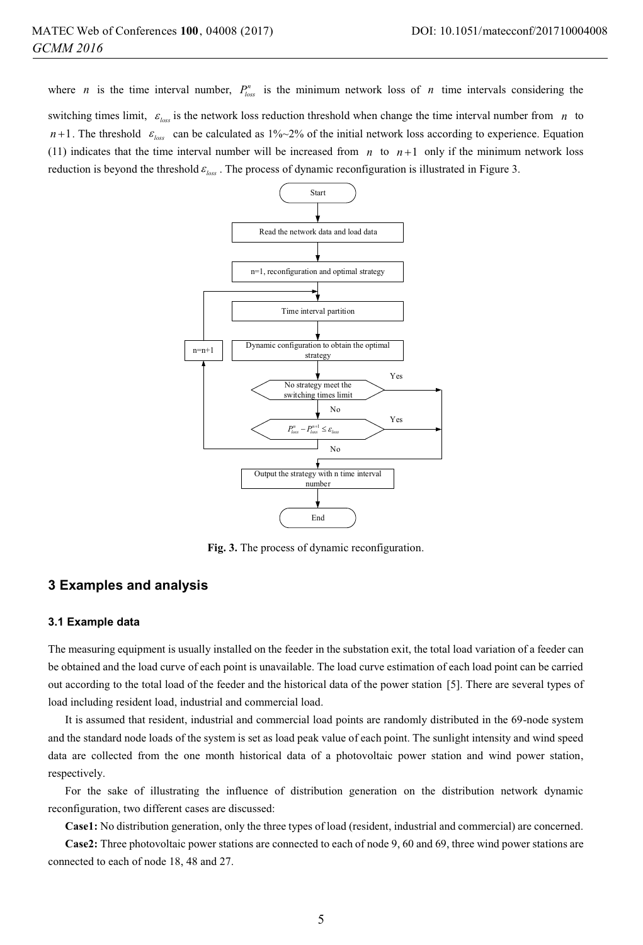where *n* is the time interval number,  $P_{loss}$  is the minimum network loss of *n* time intervals considering the switching times limit,  $\varepsilon_{loss}$  is the network loss reduction threshold when change the time interval number from  $n$  to  $n+1$ . The threshold  $\varepsilon_{loss}$  can be calculated as 1%~2% of the initial network loss according to experience. Equation (11) indicates that the time interval number will be increased from  $n$  to  $n+1$  only if the minimum network loss reduction is beyond the threshold  $\varepsilon_{loss}$ . The process of dynamic reconfiguration is illustrated in Figure 3.



**Fig. 3.** The process of dynamic reconfiguration.

### **3 Examples and analysis**

#### **3.1 Example data**

The measuring equipment is usually installed on the feeder in the substation exit, the total load variation of a feeder can be obtained and the load curve of each point is unavailable. The load curve estimation of each load point can be carried out according to the total load of the feeder and the historical data of the power station [5]. There are several types of load including resident load, industrial and commercial load.

It is assumed that resident, industrial and commercial load points are randomly distributed in the 69-node system and the standard node loads of the system is set as load peak value of each point. The sunlight intensity and wind speed data are collected from the one month historical data of a photovoltaic power station and wind power station, respectively.

For the sake of illustrating the influence of distribution generation on the distribution network dynamic reconfiguration, two different cases are discussed:

**Case1:** No distribution generation, only the three types of load (resident, industrial and commercial) are concerned.

**Case2:** Three photovoltaic power stations are connected to each of node 9, 60 and 69, three wind power stations are connected to each of node 18, 48 and 27.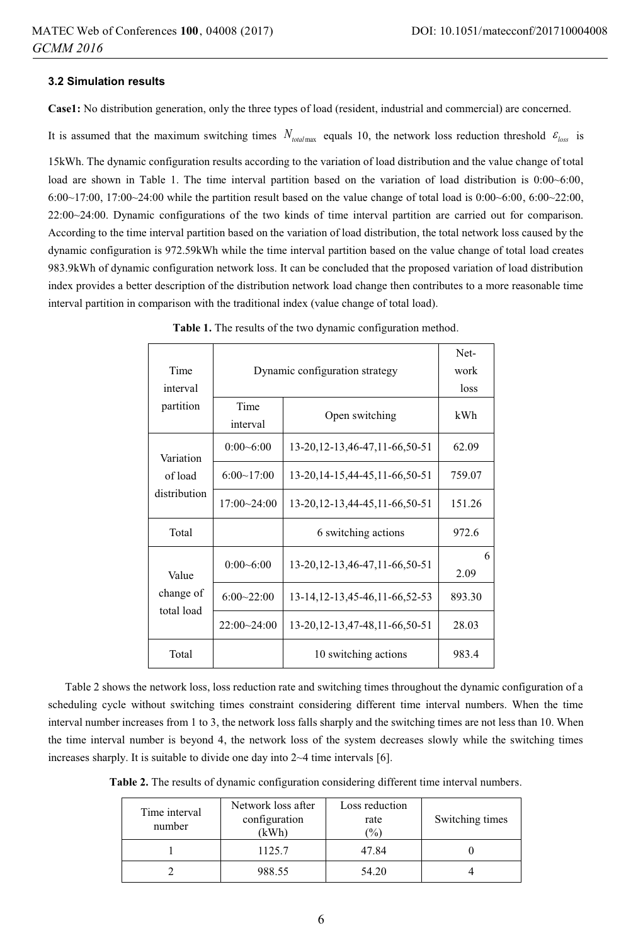#### **3.2 Simulation results**

**Case1:** No distribution generation, only the three types of load (resident, industrial and commercial) are concerned.

It is assumed that the maximum switching times  $N_{total\,\text{max}}$  equals 10, the network loss reduction threshold  $\varepsilon_{loss}$  is

15kWh. The dynamic configuration results according to the variation of load distribution and the value change of total load are shown in Table 1. The time interval partition based on the variation of load distribution is 0:00~6:00, 6:00~17:00, 17:00~24:00 while the partition result based on the value change of total load is 0:00~6:00, 6:00~22:00, 22:00~24:00. Dynamic configurations of the two kinds of time interval partition are carried out for comparison. According to the time interval partition based on the variation of load distribution, the total network loss caused by the dynamic configuration is 972.59kWh while the time interval partition based on the value change of total load creates 983.9kWh of dynamic configuration network loss. It can be concluded that the proposed variation of load distribution index provides a better description of the distribution network load change then contributes to a more reasonable time interval partition in comparison with the traditional index (value change of total load).

| Time<br>interval<br>partition        | Dynamic configuration strategy                       | Net-<br>work<br>loss              |           |
|--------------------------------------|------------------------------------------------------|-----------------------------------|-----------|
|                                      | Time<br>interval                                     | Open switching                    | kWh       |
| Variation<br>of load<br>distribution | $0:00-6:00$<br>13-20, 12-13, 46-47, 11-66, 50-51     |                                   | 62.09     |
|                                      | 6:00~17:00                                           | 13-20, 14-15, 44-45, 11-66, 50-51 |           |
|                                      | $17:00 - 24:00$<br>13-20, 12-13, 44-45, 11-66, 50-51 |                                   | 151.26    |
| Total                                |                                                      | 6 switching actions               | 972.6     |
| Value<br>change of<br>total load     | $0:00-6:00$                                          | 13-20, 12-13, 46-47, 11-66, 50-51 | 6<br>2.09 |
|                                      | $6:00-22:00$                                         | 13-14, 12-13, 45-46, 11-66, 52-53 | 893.30    |
|                                      | 22:00~24:00                                          | 13-20, 12-13, 47-48, 11-66, 50-51 |           |
| Total                                |                                                      | 10 switching actions              | 983.4     |

**Table 1.** The results of the two dynamic configuration method.

Table 2 shows the network loss, loss reduction rate and switching times throughout the dynamic configuration of a scheduling cycle without switching times constraint considering different time interval numbers. When the time interval number increases from 1 to 3, the network loss falls sharply and the switching times are not less than 10. When the time interval number is beyond 4, the network loss of the system decreases slowly while the switching times increases sharply. It is suitable to divide one day into 2~4 time intervals [6].

**Table 2.** The results of dynamic configuration considering different time interval numbers.

| Time interval<br>number | Network loss after<br>configuration<br>(kWh) | Loss reduction<br>rate<br>$\frac{10}{6}$ | Switching times |
|-------------------------|----------------------------------------------|------------------------------------------|-----------------|
|                         | 1125.7                                       | 47.84                                    |                 |
|                         | 988.55                                       | 54.20                                    |                 |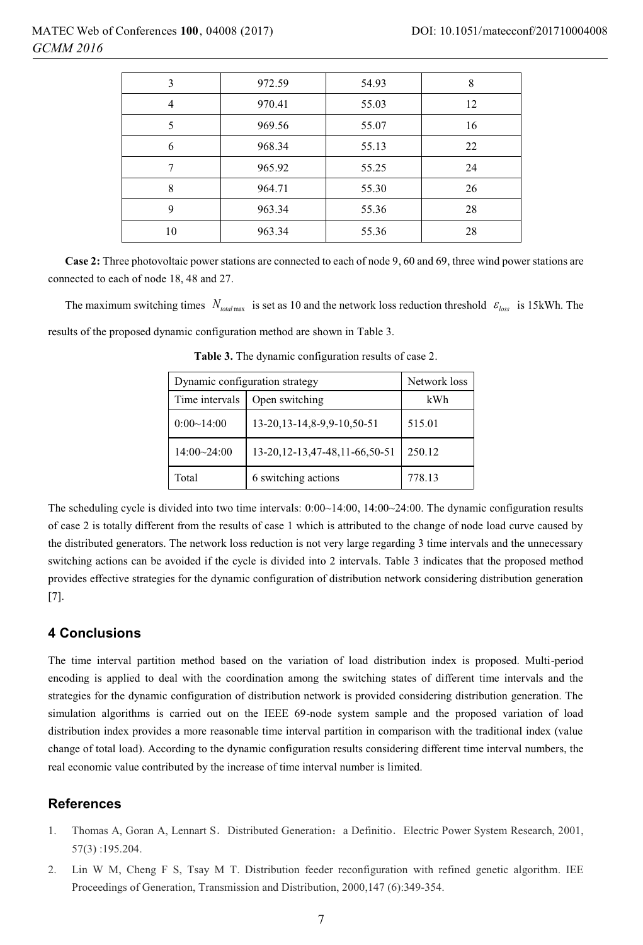| 3  | 972.59 | 54.93 | 8  |
|----|--------|-------|----|
|    | 970.41 | 55.03 | 12 |
| 5  | 969.56 | 55.07 | 16 |
| 6  | 968.34 | 55.13 | 22 |
|    | 965.92 | 55.25 | 24 |
| 8  | 964.71 | 55.30 | 26 |
| 9  | 963.34 | 55.36 | 28 |
| 10 | 963.34 | 55.36 | 28 |

**Case 2:** Three photovoltaic power stations are connected to each of node 9, 60 and 69, three wind power stations are connected to each of node 18, 48 and 27.

The maximum switching times  $N_{total\text{max}}$  is set as 10 and the network loss reduction threshold  $\varepsilon_{loss}$  is 15kWh. The results of the proposed dynamic configuration method are shown in Table 3.

| Dynamic configuration strategy |                                   | Network loss |
|--------------------------------|-----------------------------------|--------------|
| Time intervals                 | Open switching                    | kWh          |
| 0:00~14:00                     | 13-20, 13-14, 8-9, 9-10, 50-51    | 515.01       |
| 14:00~24:00                    | 13-20, 12-13, 47-48, 11-66, 50-51 | 250.12       |
| Total                          | 6 switching actions               | 778.13       |

**Table 3.** The dynamic configuration results of case 2.

The scheduling cycle is divided into two time intervals: 0:00~14:00, 14:00~24:00. The dynamic configuration results of case 2 is totally different from the results of case 1 which is attributed to the change of node load curve caused by the distributed generators. The network loss reduction is not very large regarding 3 time intervals and the unnecessary switching actions can be avoided if the cycle is divided into 2 intervals. Table 3 indicates that the proposed method provides effective strategies for the dynamic configuration of distribution network considering distribution generation [7].

## **4 Conclusions**

The time interval partition method based on the variation of load distribution index is proposed. Multi-period encoding is applied to deal with the coordination among the switching states of different time intervals and the strategies for the dynamic configuration of distribution network is provided considering distribution generation. The simulation algorithms is carried out on the IEEE 69-node system sample and the proposed variation of load distribution index provides a more reasonable time interval partition in comparison with the traditional index (value change of total load). According to the dynamic configuration results considering different time interval numbers, the real economic value contributed by the increase of time interval number is limited.

### **References**

- 1. Thomas A, Goran A, Lennart S. Distributed Generation: a Definitio. Electric Power System Research, 2001, 57(3) :195.204.
- 2. Lin W M, Cheng F S, Tsay M T. Distribution feeder reconfiguration with refined genetic algorithm. IEE Proceedings of Generation, Transmission and Distribution, 2000,147 (6):349-354.